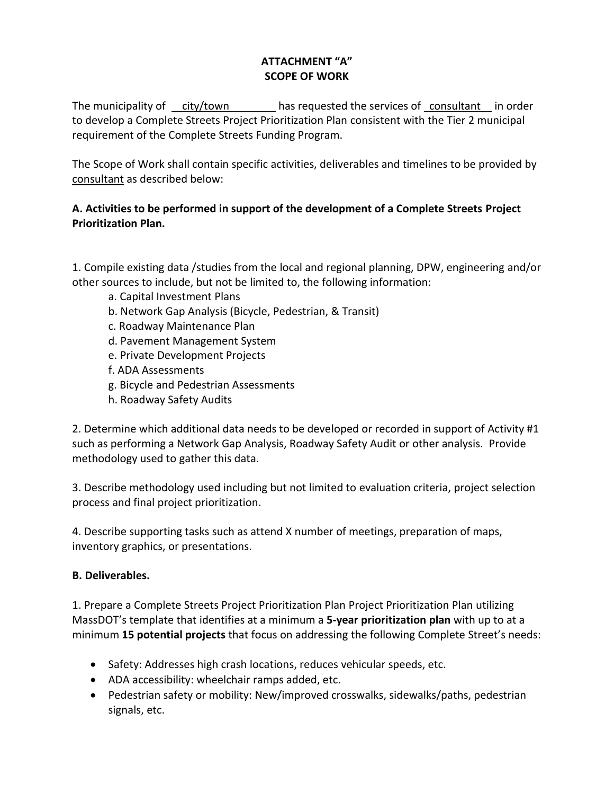## **ATTACHMENT "A" SCOPE OF WORK**

The municipality of  $\frac{\text{city/town}}{\text{city}}$  has requested the services of consultant in order to develop a Complete Streets Project Prioritization Plan consistent with the Tier 2 municipal requirement of the Complete Streets Funding Program.

The Scope of Work shall contain specific activities, deliverables and timelines to be provided by consultant as described below:

## **A. Activities to be performed in support of the development of a Complete Streets Project Prioritization Plan.**

1. Compile existing data /studies from the local and regional planning, DPW, engineering and/or other sources to include, but not be limited to, the following information:

- a. Capital Investment Plans
- b. Network Gap Analysis (Bicycle, Pedestrian, & Transit)
- c. Roadway Maintenance Plan
- d. Pavement Management System
- e. Private Development Projects
- f. ADA Assessments
- g. Bicycle and Pedestrian Assessments
- h. Roadway Safety Audits

2. Determine which additional data needs to be developed or recorded in support of Activity #1 such as performing a Network Gap Analysis, Roadway Safety Audit or other analysis. Provide methodology used to gather this data.

3. Describe methodology used including but not limited to evaluation criteria, project selection process and final project prioritization.

4. Describe supporting tasks such as attend X number of meetings, preparation of maps, inventory graphics, or presentations.

## **B. Deliverables.**

1. Prepare a Complete Streets Project Prioritization Plan Project Prioritization Plan utilizing MassDOT's template that identifies at a minimum a **5-year prioritization plan** with up to at a minimum **15 potential projects** that focus on addressing the following Complete Street's needs:

- Safety: Addresses high crash locations, reduces vehicular speeds, etc.
- ADA accessibility: wheelchair ramps added, etc.
- Pedestrian safety or mobility: New/improved crosswalks, sidewalks/paths, pedestrian signals, etc.